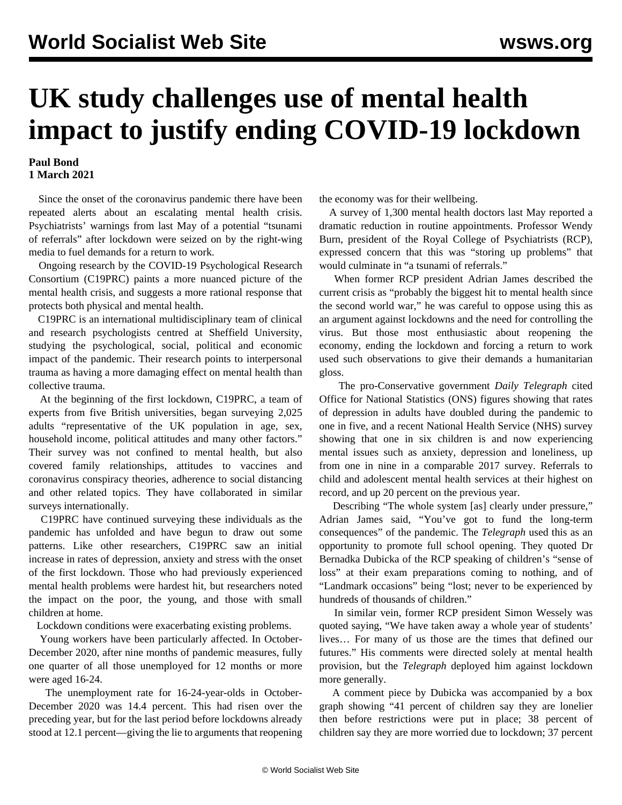## **UK study challenges use of mental health impact to justify ending COVID-19 lockdown**

## **Paul Bond 1 March 2021**

 Since the onset of the coronavirus pandemic there have been repeated alerts about an escalating mental health crisis. Psychiatrists' warnings from last May of a potential "tsunami of referrals" after lockdown were seized on by the right-wing media to fuel demands for a return to work.

 Ongoing research by the COVID-19 Psychological Research Consortium (C19PRC) paints a more nuanced picture of the mental health crisis, and suggests a more rational response that protects both physical and mental health.

 C19PRC is an international multidisciplinary team of clinical and research psychologists centred at Sheffield University, studying the psychological, social, political and economic impact of the pandemic. Their research points to interpersonal trauma as having a more damaging effect on mental health than collective trauma.

 At the beginning of the first lockdown, C19PRC, a team of experts from five British universities, began surveying 2,025 adults "representative of the UK population in age, sex, household income, political attitudes and many other factors." Their survey was not confined to mental health, but also covered family relationships, attitudes to vaccines and coronavirus conspiracy theories, adherence to social distancing and other related topics. They have collaborated in similar surveys internationally.

 C19PRC have continued surveying these individuals as the pandemic has unfolded and have begun to draw out some patterns. Like other researchers, C19PRC saw an initial increase in rates of depression, anxiety and stress with the onset of the first lockdown. Those who had previously experienced mental health problems were hardest hit, but researchers noted the impact on the poor, the young, and those with small children at home.

Lockdown conditions were exacerbating existing problems.

 Young workers have been particularly affected. In October-December 2020, after nine months of pandemic measures, fully one quarter of all those unemployed for 12 months or more were aged 16-24.

 The unemployment rate for 16-24-year-olds in October-December 2020 was 14.4 percent. This had risen over the preceding year, but for the last period before lockdowns already stood at 12.1 percent—giving the lie to arguments that reopening the economy was for their wellbeing.

 A survey of 1,300 mental health doctors last May reported a dramatic reduction in routine appointments. Professor Wendy Burn, president of the Royal College of Psychiatrists (RCP), expressed concern that this was "storing up problems" that would culminate in "a tsunami of referrals."

 When former RCP president Adrian James described the current crisis as "probably the biggest hit to mental health since the second world war," he was careful to oppose using this as an argument against lockdowns and the need for controlling the virus. But those most enthusiastic about reopening the economy, ending the lockdown and forcing a return to work used such observations to give their demands a humanitarian gloss.

 The pro-Conservative government *Daily Telegraph* cited Office for National Statistics (ONS) figures showing that rates of depression in adults have doubled during the pandemic to one in five, and a recent National Health Service (NHS) survey showing that one in six children is and now experiencing mental issues such as anxiety, depression and loneliness, up from one in nine in a comparable 2017 survey. Referrals to child and adolescent mental health services at their highest on record, and up 20 percent on the previous year.

 Describing "The whole system [as] clearly under pressure," Adrian James said, "You've got to fund the long-term consequences" of the pandemic. The *Telegraph* used this as an opportunity to promote full school opening. They quoted Dr Bernadka Dubicka of the RCP speaking of children's "sense of loss" at their exam preparations coming to nothing, and of "Landmark occasions" being "lost; never to be experienced by hundreds of thousands of children."

 In similar vein, former RCP president Simon Wessely was quoted saying, "We have taken away a whole year of students' lives… For many of us those are the times that defined our futures." His comments were directed solely at mental health provision, but the *Telegraph* deployed him against lockdown more generally.

 A comment piece by Dubicka was accompanied by a box graph showing "41 percent of children say they are lonelier then before restrictions were put in place; 38 percent of children say they are more worried due to lockdown; 37 percent